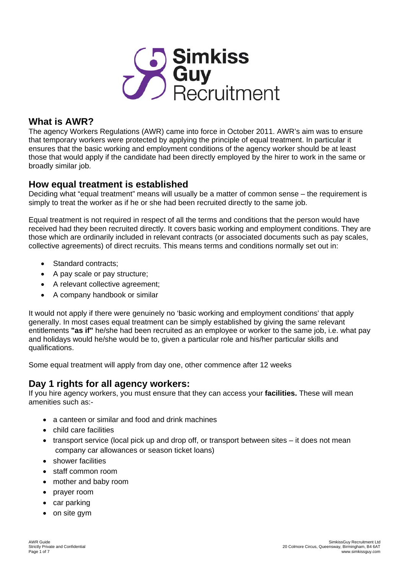

## **What is AWR?**

The agency Workers Regulations (AWR) came into force in October 2011. AWR's aim was to ensure that temporary workers were protected by applying the principle of equal treatment. In particular it ensures that the basic working and employment conditions of the agency worker should be at least those that would apply if the candidate had been directly employed by the hirer to work in the same or broadly similar job.

## **How equal treatment is established**

Deciding what "equal treatment" means will usually be a matter of common sense – the requirement is simply to treat the worker as if he or she had been recruited directly to the same job.

Equal treatment is not required in respect of all the terms and conditions that the person would have received had they been recruited directly. It covers basic working and employment conditions. They are those which are ordinarily included in relevant contracts (or associated documents such as pay scales, collective agreements) of direct recruits. This means terms and conditions normally set out in:

- Standard contracts:
- A pay scale or pay structure;
- A relevant collective agreement:
- A company handbook or similar

It would not apply if there were genuinely no 'basic working and employment conditions' that apply generally. In most cases equal treatment can be simply established by giving the same relevant entitlements **"as if"** he/she had been recruited as an employee or worker to the same job, i.e. what pay and holidays would he/she would be to, given a particular role and his/her particular skills and qualifications.

Some equal treatment will apply from day one, other commence after 12 weeks

## **Day 1 rights for all agency workers:**

If you hire agency workers, you must ensure that they can access your **facilities.** These will mean amenities such as:-

- a canteen or similar and food and drink machines
- child care facilities
- transport service (local pick up and drop off, or transport between sites it does not mean company car allowances or season ticket loans)
- shower facilities
- staff common room
- mother and baby room
- prayer room
- car parking
- on site gym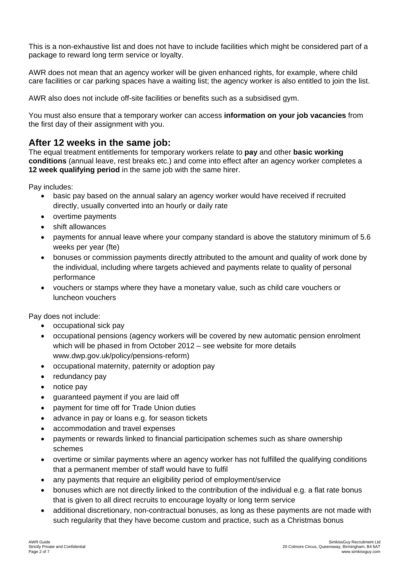This is a non-exhaustive list and does not have to include facilities which might be considered part of a package to reward long term service or loyalty.

AWR does not mean that an agency worker will be given enhanced rights, for example, where child care facilities or car parking spaces have a waiting list; the agency worker is also entitled to join the list.

AWR also does not include off-site facilities or benefits such as a subsidised gym.

You must also ensure that a temporary worker can access **information on your job vacancies** from the first day of their assignment with you.

## **After 12 weeks in the same job:**

The equal treatment entitlements for temporary workers relate to **pay** and other **basic working conditions** (annual leave, rest breaks etc.) and come into effect after an agency worker completes a **12 week qualifying period** in the same job with the same hirer.

Pay includes:

- basic pay based on the annual salary an agency worker would have received if recruited directly, usually converted into an hourly or daily rate
- overtime payments
- shift allowances
- payments for annual leave where your company standard is above the statutory minimum of 5.6 weeks per year (fte)
- bonuses or commission payments directly attributed to the amount and quality of work done by the individual, including where targets achieved and payments relate to quality of personal performance
- vouchers or stamps where they have a monetary value, such as child care vouchers or luncheon vouchers

Pay does not include:

- occupational sick pay
- occupational pensions (agency workers will be covered by new automatic pension enrolment which will be phased in from October 2012 – see website for more details www.dwp.gov.uk/policy/pensions-reform)
- occupational maternity, paternity or adoption pay
- redundancy pay
- notice pay
- guaranteed payment if you are laid off
- payment for time off for Trade Union duties
- advance in pay or loans e.g. for season tickets
- accommodation and travel expenses
- payments or rewards linked to financial participation schemes such as share ownership schemes
- overtime or similar payments where an agency worker has not fulfilled the qualifying conditions that a permanent member of staff would have to fulfil
- any payments that require an eligibility period of employment/service
- bonuses which are not directly linked to the contribution of the individual e.g. a flat rate bonus that is given to all direct recruits to encourage loyalty or long term service
- additional discretionary, non-contractual bonuses, as long as these payments are not made with such regularity that they have become custom and practice, such as a Christmas bonus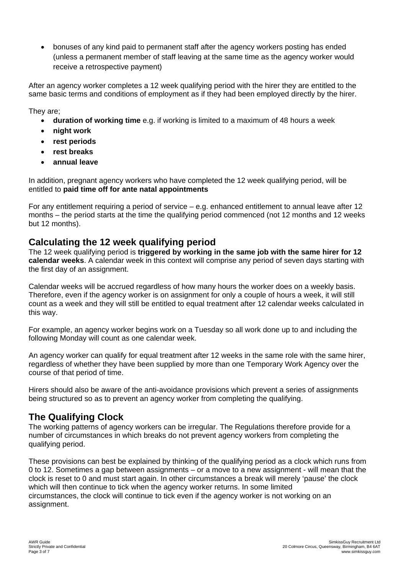bonuses of any kind paid to permanent staff after the agency workers posting has ended (unless a permanent member of staff leaving at the same time as the agency worker would receive a retrospective payment)

After an agency worker completes a 12 week qualifying period with the hirer they are entitled to the same basic terms and conditions of employment as if they had been employed directly by the hirer.

They are;

- **duration of working time** e.g. if working is limited to a maximum of 48 hours a week
- **night work**
- **rest periods**
- **rest breaks**
- **annual leave**

In addition, pregnant agency workers who have completed the 12 week qualifying period, will be entitled to **paid time off for ante natal appointments**

For any entitlement requiring a period of service – e.g. enhanced entitlement to annual leave after 12 months – the period starts at the time the qualifying period commenced (not 12 months and 12 weeks but 12 months).

## **Calculating the 12 week qualifying period**

The 12 week qualifying period is **triggered by working in the same job with the same hirer for 12 calendar weeks**. A calendar week in this context will comprise any period of seven days starting with the first day of an assignment.

Calendar weeks will be accrued regardless of how many hours the worker does on a weekly basis. Therefore, even if the agency worker is on assignment for only a couple of hours a week, it will still count as a week and they will still be entitled to equal treatment after 12 calendar weeks calculated in this way.

For example, an agency worker begins work on a Tuesday so all work done up to and including the following Monday will count as one calendar week.

An agency worker can qualify for equal treatment after 12 weeks in the same role with the same hirer, regardless of whether they have been supplied by more than one Temporary Work Agency over the course of that period of time.

Hirers should also be aware of the anti-avoidance provisions which prevent a series of assignments being structured so as to prevent an agency worker from completing the qualifying.

## **The Qualifying Clock**

The working patterns of agency workers can be irregular. The Regulations therefore provide for a number of circumstances in which breaks do not prevent agency workers from completing the qualifying period.

These provisions can best be explained by thinking of the qualifying period as a clock which runs from 0 to 12. Sometimes a gap between assignments – or a move to a new assignment - will mean that the clock is reset to 0 and must start again. In other circumstances a break will merely 'pause' the clock which will then continue to tick when the agency worker returns. In some limited circumstances, the clock will continue to tick even if the agency worker is not working on an assignment.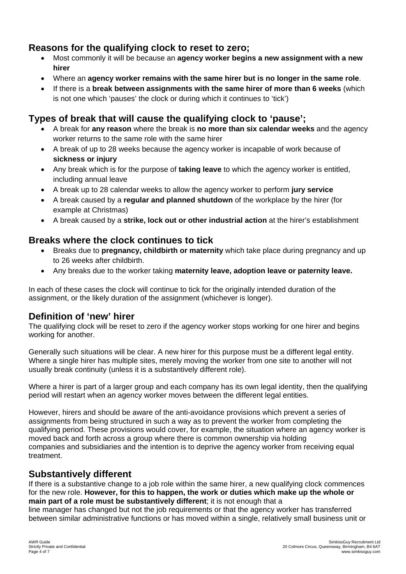# **Reasons for the qualifying clock to reset to zero;**

- Most commonly it will be because an **agency worker begins a new assignment with a new hirer**
- Where an **agency worker remains with the same hirer but is no longer in the same role**.
- If there is a **break between assignments with the same hirer of more than 6 weeks** (which is not one which 'pauses' the clock or during which it continues to 'tick')

# **Types of break that will cause the qualifying clock to 'pause';**

- A break for **any reason** where the break is **no more than six calendar weeks** and the agency worker returns to the same role with the same hirer
- A break of up to 28 weeks because the agency worker is incapable of work because of **sickness or injury**
- Any break which is for the purpose of **taking leave** to which the agency worker is entitled, including annual leave
- A break up to 28 calendar weeks to allow the agency worker to perform **jury service**
- A break caused by a **regular and planned shutdown** of the workplace by the hirer (for example at Christmas)
- A break caused by a **strike, lock out or other industrial action** at the hirer's establishment

# **Breaks where the clock continues to tick**

- Breaks due to **pregnancy, childbirth or maternity** which take place during pregnancy and up to 26 weeks after childbirth.
- Any breaks due to the worker taking **maternity leave, adoption leave or paternity leave.**

In each of these cases the clock will continue to tick for the originally intended duration of the assignment, or the likely duration of the assignment (whichever is longer).

# **Definition of 'new' hirer**

The qualifying clock will be reset to zero if the agency worker stops working for one hirer and begins working for another.

Generally such situations will be clear. A new hirer for this purpose must be a different legal entity. Where a single hirer has multiple sites, merely moving the worker from one site to another will not usually break continuity (unless it is a substantively different role).

Where a hirer is part of a larger group and each company has its own legal identity, then the qualifying period will restart when an agency worker moves between the different legal entities.

However, hirers and should be aware of the anti-avoidance provisions which prevent a series of assignments from being structured in such a way as to prevent the worker from completing the qualifying period. These provisions would cover, for example, the situation where an agency worker is moved back and forth across a group where there is common ownership via holding companies and subsidiaries and the intention is to deprive the agency worker from receiving equal treatment.

# **Substantively different**

If there is a substantive change to a job role within the same hirer, a new qualifying clock commences for the new role. **However, for this to happen, the work or duties which make up the whole or main part of a role must be substantively different**; it is not enough that a line manager has changed but not the job requirements or that the agency worker has transferred between similar administrative functions or has moved within a single, relatively small business unit or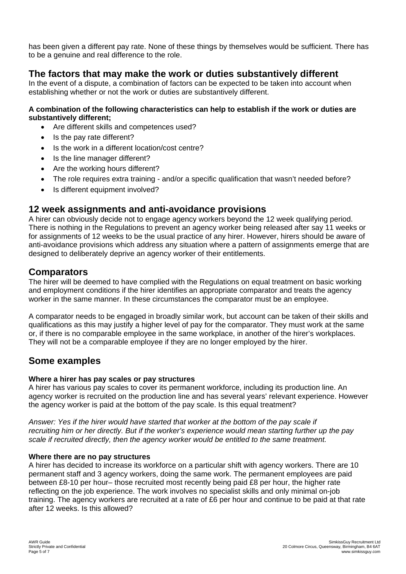has been given a different pay rate. None of these things by themselves would be sufficient. There has to be a genuine and real difference to the role.

# **The factors that may make the work or duties substantively different**

In the event of a dispute, a combination of factors can be expected to be taken into account when establishing whether or not the work or duties are substantively different.

### **A combination of the following characteristics can help to establish if the work or duties are substantively different;**

- Are different skills and competences used?
- Is the pay rate different?
- Is the work in a different location/cost centre?
- Is the line manager different?
- Are the working hours different?
- The role requires extra training and/or a specific qualification that wasn't needed before?
- Is different equipment involved?

## **12 week assignments and anti-avoidance provisions**

A hirer can obviously decide not to engage agency workers beyond the 12 week qualifying period. There is nothing in the Regulations to prevent an agency worker being released after say 11 weeks or for assignments of 12 weeks to be the usual practice of any hirer. However, hirers should be aware of anti-avoidance provisions which address any situation where a pattern of assignments emerge that are designed to deliberately deprive an agency worker of their entitlements.

## **Comparators**

The hirer will be deemed to have complied with the Regulations on equal treatment on basic working and employment conditions if the hirer identifies an appropriate comparator and treats the agency worker in the same manner. In these circumstances the comparator must be an employee.

A comparator needs to be engaged in broadly similar work, but account can be taken of their skills and qualifications as this may justify a higher level of pay for the comparator. They must work at the same or, if there is no comparable employee in the same workplace, in another of the hirer's workplaces. They will not be a comparable employee if they are no longer employed by the hirer.

## **Some examples**

### **Where a hirer has pay scales or pay structures**

A hirer has various pay scales to cover its permanent workforce, including its production line. An agency worker is recruited on the production line and has several years' relevant experience. However the agency worker is paid at the bottom of the pay scale. Is this equal treatment?

*Answer: Yes if the hirer would have started that worker at the bottom of the pay scale if recruiting him or her directly. But if the worker's experience would mean starting further up the pay scale if recruited directly, then the agency worker would be entitled to the same treatment.* 

### **Where there are no pay structures**

A hirer has decided to increase its workforce on a particular shift with agency workers. There are 10 permanent staff and 3 agency workers, doing the same work. The permanent employees are paid between £8-10 per hour– those recruited most recently being paid £8 per hour, the higher rate reflecting on the job experience. The work involves no specialist skills and only minimal on-job training. The agency workers are recruited at a rate of £6 per hour and continue to be paid at that rate after 12 weeks. Is this allowed?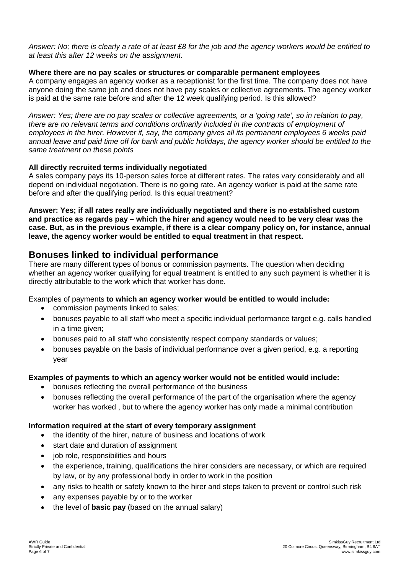*Answer: No; there is clearly a rate of at least £8 for the job and the agency workers would be entitled to at least this after 12 weeks on the assignment.* 

### **Where there are no pay scales or structures or comparable permanent employees**

A company engages an agency worker as a receptionist for the first time. The company does not have anyone doing the same job and does not have pay scales or collective agreements. The agency worker is paid at the same rate before and after the 12 week qualifying period. Is this allowed?

*Answer: Yes; there are no pay scales or collective agreements, or a 'going rate', so in relation to pay, there are no relevant terms and conditions ordinarily included in the contracts of employment of employees in the hirer. However if, say, the company gives all its permanent employees 6 weeks paid annual leave and paid time off for bank and public holidays, the agency worker should be entitled to the same treatment on these points* 

### **All directly recruited terms individually negotiated**

A sales company pays its 10-person sales force at different rates. The rates vary considerably and all depend on individual negotiation. There is no going rate. An agency worker is paid at the same rate before and after the qualifying period. Is this equal treatment?

**Answer: Yes; if all rates really are individually negotiated and there is no established custom and practice as regards pay – which the hirer and agency would need to be very clear was the case. But, as in the previous example, if there is a clear company policy on, for instance, annual leave, the agency worker would be entitled to equal treatment in that respect.** 

# **Bonuses linked to individual performance**

There are many different types of bonus or commission payments. The question when deciding whether an agency worker qualifying for equal treatment is entitled to any such payment is whether it is directly attributable to the work which that worker has done.

Examples of payments **to which an agency worker would be entitled to would include:** 

- commission payments linked to sales;
- bonuses payable to all staff who meet a specific individual performance target e.g. calls handled in a time given;
- bonuses paid to all staff who consistently respect company standards or values;
- bonuses payable on the basis of individual performance over a given period, e.g. a reporting year

### **Examples of payments to which an agency worker would not be entitled would include:**

- bonuses reflecting the overall performance of the business
- bonuses reflecting the overall performance of the part of the organisation where the agency worker has worked , but to where the agency worker has only made a minimal contribution

### **Information required at the start of every temporary assignment**

- the identity of the hirer, nature of business and locations of work
- start date and duration of assignment
- job role, responsibilities and hours
- the experience, training, qualifications the hirer considers are necessary, or which are required by law, or by any professional body in order to work in the position
- any risks to health or safety known to the hirer and steps taken to prevent or control such risk
- any expenses payable by or to the worker
- the level of **basic pay** (based on the annual salary)